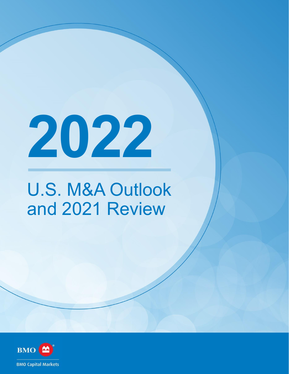**2022**

# U.S. M&A Outlook and 2021 Review

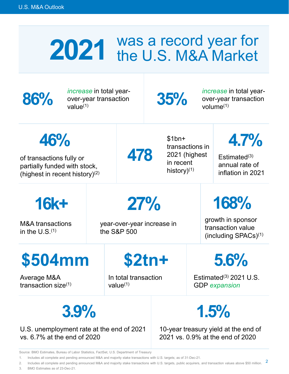## 2021 Was a record year for<br>
the U.S. M&A Market the U.S. M&A Market



**86%** *increase* in total year-<br>ver-year transaction<br>value<sup>(1)</sup> over-year transaction increase in total year-<br>over-year transaction **35%** *increase* in total year-<br>value<sup>[\(1](#page-1-0))</sup> *S*5% volume<sup>(1)</sup>

over-year transaction volume $(1)$  $(1)$ 

<span id="page-1-1"></span>**46%** 

of transactions fully or partially funded with stock, (highest in recent history)([2\)](#page-1-2) **478** 

\$1bn+ transactions in 2021 (highest in recent history)([1](#page-1-0))

<span id="page-1-5"></span>**4.7%** 

Estimated([3\)](#page-1-4) annual rate of inflation in 2021

**16k+** 

M&A transactions in the  $U.S.(1)$  $U.S.(1)$  $U.S.(1)$ 

<span id="page-1-3"></span>**27%** 

year-over-year increase in the S&P 500

# **168%**

growth in sponsor transaction value (including SPACs)([1](#page-1-0))

# **\$504mm**

Average M&A transaction size $(1)$  $(1)$  $(1)$  **\$2tn+** 

In total transaction value $(1)$  $(1)$ 

**5.6%** 

Estimated $(3)$  2021 U.S. GDP *expansion* 

**3.9%** 

U.S. unemployment rate at the end of 2021 vs. 6.7% at the end of 2020

**1.5%** 

10-year treasury yield at the end of 2021 vs. 0.9% at the end of 2020

Source: BMO Estimates, Bureau of Labor Statistics, FactSet, U.S. Department of Treasury

<span id="page-1-0"></span>[1.](#page-1-1) Includes all complete and pending announced M&A and majority stake transactions with U.S. targets; as of 31-Dec-21.

<span id="page-1-4"></span><span id="page-1-2"></span>[2](#page-1-3). Includes all complete and pending announced M&A and majority stake transactions with U.S. targets, public acquirers, and transaction values above \$50 million. 2 3 BMO Estimates as of 2[3](#page-1-5)-Dec-21.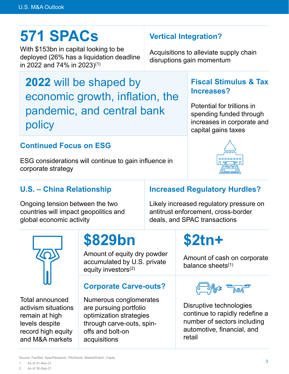# **571 SPACs**

With \$153bn in capital looking to be deployed (26% has a liquidation deadline in 2022 and 74% in 2023)([1](#page-2-0))

**2022** will be shaped by economic growth, inflation, the pandemic, and central bank policy

### **Continued Focus on ESG**

ESG considerations will continue to gain influence in corporate strategy

### **Vertical Integration?**

<span id="page-2-1"></span>Acquisitions to alleviate supply chain disruptions gain momentum

### **Fiscal Stimulus & Tax Increases?**

Potential for trillions in spending funded through increases in corporate and capital gains taxes

# <u>nnnnnnn</u>

### **U.S. – China Relationship**

Ongoing tension between the two countries will impact geopolitics and global economic activity

### **Increased Regulatory Hurdles?**

Likely increased regulatory pressure on antitrust enforcement, cross-border deals, and SPAC transactions



<span id="page-2-2"></span><span id="page-2-0"></span>Total announced activism situations remain at high levels despite record high equity and M&A markets

# **\$829bn**

<span id="page-2-3"></span>Amount of equity dry powder accumulated by U.S. private equity investors<sup>([2](#page-2-2))</sup>

### **Corporate Carve-outs?**

Numerous conglomerates are pursuing portfolio optimization strategies through carve-outs, spinoffs and bolt-on acquisitions

# **\$2tn+**

Amount of cash on corporate balance sheets $(1)$  $(1)$ 



Disruptive technologies continue to rapidly redefine a number of sectors including automotive, financial, and retail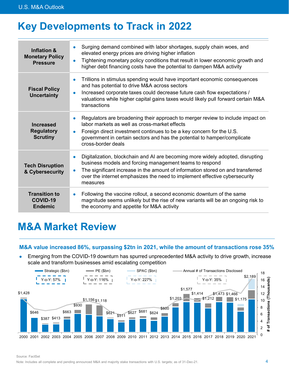### **Key Developments to Track in 2022**

| <b>Inflation &amp;</b><br><b>Monetary Policy</b><br><b>Pressure</b> | Surging demand combined with labor shortages, supply chain woes, and<br>$\bullet$<br>elevated energy prices are driving higher inflation<br>Tightening monetary policy conditions that result in lower economic growth and<br>$\bullet$<br>higher debt financing costs have the potential to dampen M&A activity                                 |
|---------------------------------------------------------------------|--------------------------------------------------------------------------------------------------------------------------------------------------------------------------------------------------------------------------------------------------------------------------------------------------------------------------------------------------|
| <b>Fiscal Policy</b><br><b>Uncertainty</b>                          | Trillions in stimulus spending would have important economic consequences<br>$\bullet$<br>and has potential to drive M&A across sectors<br>Increased corporate taxes could decrease future cash flow expectations /<br>$\bullet$<br>valuations while higher capital gains taxes would likely pull forward certain M&A<br>transactions            |
| <b>Increased</b><br><b>Regulatory</b><br><b>Scrutiny</b>            | Regulators are broadening their approach to merger review to include impact on<br>$\bullet$<br>labor markets as well as cross-market effects<br>Foreign direct investment continues to be a key concern for the U.S.<br>$\bullet$<br>government in certain sectors and has the potential to hamper/complicate<br>cross-border deals              |
| <b>Tech Disruption</b><br>& Cybersecurity                           | Digitalization, blockchain and AI are becoming more widely adopted, disrupting<br>$\bullet$<br>business models and forcing management teams to respond<br>The significant increase in the amount of information stored on and transferred<br>$\bullet$<br>over the internet emphasizes the need to implement effective cybersecurity<br>measures |
| <b>Transition to</b><br>COVID-19<br><b>Endemic</b>                  | Following the vaccine rollout, a second economic downturn of the same<br>$\bullet$<br>magnitude seems unlikely but the rise of new variants will be an ongoing risk to<br>the economy and appetite for M&A activity                                                                                                                              |

### **M&A Market Review**

### **M&A value increased 86%, surpassing \$2tn in 2021, while the amount of transactions rose 35%**

• Emerging from the COVID-19 downturn has spurred unprecedented M&A activity to drive growth, increase scale and transform businesses amid escalating competition



Source: FactSet

Note: Includes all complete and pending announced M&A and majority stake transactions with U.S. targets; as of 31-Dec-21.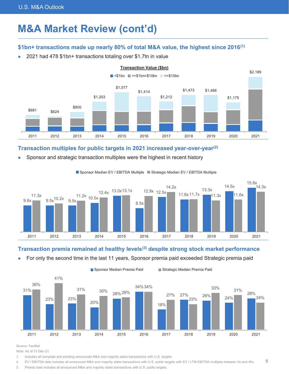### **M&A Market Review (cont'd) M&A Market Review (cont'd)**

### **\$1bn+ transactions made up nearly 80% of total M&A value, the highest since 2016(1) \$1bn+ transactions made up nearly 80% of total M&A value, the highest since 2016[\(1\)](#page-4-0)**

• 2021 had 478 \$1bn+ transactions totaling over \$1.7tn in value • 2021 had 478 \$1bn+ transactions totaling over \$1.7tn in value



### **Transaction multiples for public targets in 2021 increased year-over-year(2) Transaction multiples for public targets in 2021 increased year-over-year[\(2\)](#page-4-2)**

• Sponsor and strategic transaction multiples were the highest in recent history • Sponsor and strategic transaction multiples were the highest in recent history



#### <span id="page-4-5"></span><span id="page-4-3"></span><span id="page-4-1"></span>Sponsor Median EV / EBITDA Multiple Strategic Median EV / EBITDA Multiple

### **Transaction premia remained at healthy levels(3) despite strong stock market performance Transaction premia remained at healthy levels[\(3\)](#page-4-4) despite strong stock market performance**

• For only the second time in the last 11 years, Sponsor premia paid exceeded Strategic premia paid • For only the second time in the last 11 years, Sponsor premia paid exceeded Strategic premia paid



Source: FactSet Source: FactSet

Note: As of 31-Dec-21. Note: As of 31-Dec-21.

<span id="page-4-0"></span>[1.](#page-4-1) Includes all complete and pending announced M&A and majority stake transactions with U.S. targets. 1. Includes all complete and pending announced M&A and majority stake transactions with U.S. targets.

<span id="page-4-2"></span>[2.](#page-4-3) EV / EBITDA data includes all announced M&A and majority stake transactions with U.S. public targets with EV / LTM EBITDA multiples between 3x and 40x.

<span id="page-4-4"></span>[3.](#page-4-5) Premia data includes all announced M&A and majority stake transactions with U.S. public targets. 3. Premia data includes all announced M&A and majority stake transactions with U.S. public targets.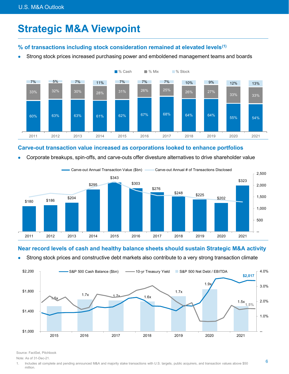### **Strategic M&A Viewpoint**

### **% of transactions including stock consideration remained at elevated levels[\(1\)](#page-5-0)**

<span id="page-5-1"></span>• Strong stock prices increased purchasing power and emboldened management teams and boards



### **Carve-out transaction value increased as corporations looked to enhance portfolios**

• Corporate breakups, spin-offs, and carve-outs offer divesture alternatives to drive shareholder value



### **Near record levels of cash and healthy balance sheets should sustain Strategic M&A activity**

Strong stock prices and constructive debt markets also contribute to a very strong transaction climate



Source: FactSet, Pitchbook

Note: As of 31-Dec-21.

<span id="page-5-0"></span>[1.](#page-5-1) Includes all complete and pending announced M&A and majority stake transactions with U.S. targets, public acquirers, and transaction values above \$50 million.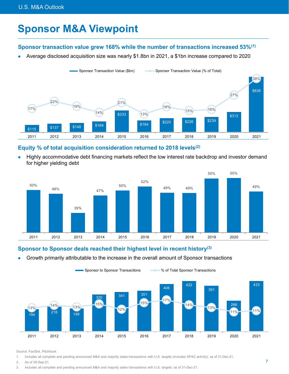### **Sponsor M&A Viewpoint**

### **Sponsor transaction value grew 168% while the number of transactions increased 53%[\(1\)](#page-6-0)**

<span id="page-6-1"></span>• Average disclosed acquisition size was nearly \$1.8bn in 2021, a \$1bn increase compared to 2020



### **Equity % of total acquisition consideration returned to 2018 levels[\(2\)](#page-6-2)**

<span id="page-6-3"></span>• Highly accommodative debt financing markets reflect the low interest rate backdrop and investor demand for higher yielding debt



### **Sponsor to Sponsor deals reached their highest level in recent history([3\)](#page-6-4)**

<span id="page-6-5"></span>• Growth primarily attributable to the increase in the overall amount of Sponsor transactions



Source: FactSet, Pitchbook

<span id="page-6-0"></span>[1.](#page-6-1) Includes all complete and pending announced M&A and majority stake transactions with U.S. targets (includes SPAC activity); as of 31-Dec-21.

- <span id="page-6-2"></span>[2.](#page-6-3) As of 30-Sep-21.
- <span id="page-6-4"></span>[3.](#page-6-5) Includes all complete and pending announced M&A and majority stake transactions with U.S. targets; as of 31-Dec-21.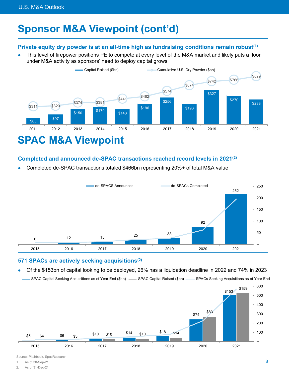### **Sponsor M&A Viewpoint (cont'd)**

### **Private equity dry powder is at an all-time high as fundraising conditions remain robust([1](#page-7-0))**

<span id="page-7-1"></span>• This level of firepower positions PE to compete at every level of the M&A market and likely puts a floor under M&A activity as sponsors' need to deploy capital grows



### <span id="page-7-3"></span>**Completed and announced de-SPAC transactions reached record levels in 2021[\(2\)](#page-7-2)**

• Completed de-SPAC transactions totaled \$466bn representing 20%+ of total M&A value



### **571 SPACs are actively seeking acquisitions([2](#page-7-2))**

• Of the \$153bn of capital looking to be deployed, 26% has a liquidation deadline in 2022 and 74% in 2023

- SPAC Capital Seeking Acquisitions as of Year End (\$bn) - SPAC Capital Raised (\$bn) SPACs Seeking Acquisitions as of Year End



Source: Pitchbook, SpacResearch

<span id="page-7-2"></span><span id="page-7-0"></span>[1.](#page-7-1) As of 30-Sep-21.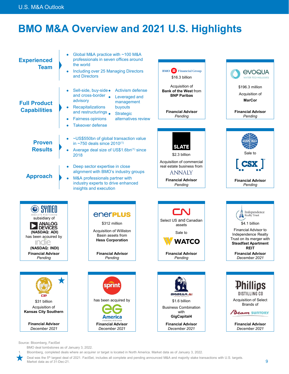### **BMO M&A Overview and 2021 U.S. Highlights**

<span id="page-8-1"></span>

Source: Bloomberg, FactSet

BMO deal tombstones as of January 3, 2022.

<span id="page-8-0"></span>[1.](#page-8-1) Bloomberg, completed deals where an acquirer or target is located in North America. Market data as of January 3, 2022.

Deal was the 5<sup>th</sup> largest deal of 2021. FactSet, includes all complete and pending announced M&A and majority stake transactions with U.S. targets. Market data as of 31-Dec-21.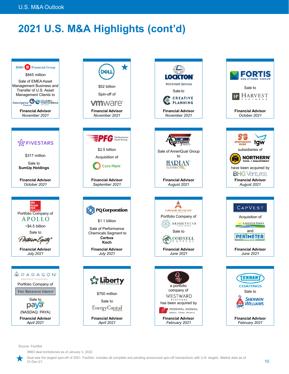### **2021 U.S. M&A Highlights (cont'd)**





Source: FactSet

BMO deal tombstones as of January 3, 2022.



**Financial Advisor**